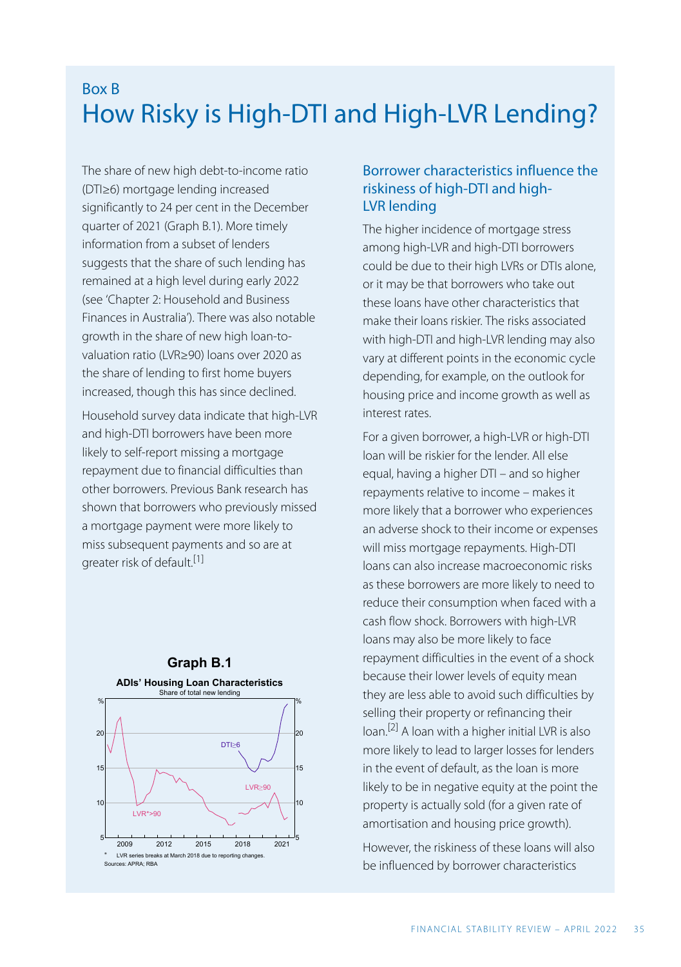### Box B How Risky is High-DTI and High-LVR Lending?

The share of new high debt-to-income ratio (DTI≥6) mortgage lending increased significantly to 24 per cent in the December quarter of 2021 (Graph B.1). More timely information from a subset of lenders suggests that the share of such lending has remained at a high level during early 2022 (see ['Chapter 2: Household and Business](https://www.rba.gov.au/publications/fsr/2022/apr/household-business-finances.html) [Finances in Australia'](https://www.rba.gov.au/publications/fsr/2022/apr/household-business-finances.html)). There was also notable growth in the share of new high loan-tovaluation ratio (LVR≥90) loans over 2020 as the share of lending to first home buyers increased, though this has since declined.

Household survey data indicate that high-LVR and high-DTI borrowers have been more likely to self-report missing a mortgage repayment due to financial difficulties than other borrowers. Previous Bank research has shown that borrowers who previously missed a mortgage payment were more likely to miss subsequent payments and so are at greater risk of default.<sup>[1]</sup>

<span id="page-0-1"></span><span id="page-0-0"></span>

### Borrower characteristics influence the riskiness of high-DTI and high-LVR lending

The higher incidence of mortgage stress among high-LVR and high-DTI borrowers could be due to their high LVRs or DTIs alone, or it may be that borrowers who take out these loans have other characteristics that make their loans riskier. The risks associated with high-DTI and high-LVR lending may also vary at different points in the economic cycle depending, for example, on the outlook for housing price and income growth as well as interest rates.

For a given borrower, a high-LVR or high-DTI loan will be riskier for the lender. All else equal, having a higher DTI – and so higher repayments relative to income – makes it more likely that a borrower who experiences an adverse shock to their income or expenses will miss mortgage repayments. High-DTI loans can also increase macroeconomic risks as these borrowers are more likely to need to reduce their consumption when faced with a cash flow shock. Borrowers with high-LVR loans may also be more likely to face repayment difficulties in the event of a shock because their lower levels of equity mean they are less able to avoid such difficulties by selling their property or refinancing their loan.[\[2\]](#page-4-1) A loan with a higher initial LVR is also more likely to lead to larger losses for lenders in the event of default, as the loan is more likely to be in negative equity at the point the property is actually sold (for a given rate of amortisation and housing price growth).

However, the riskiness of these loans will also be influenced by borrower characteristics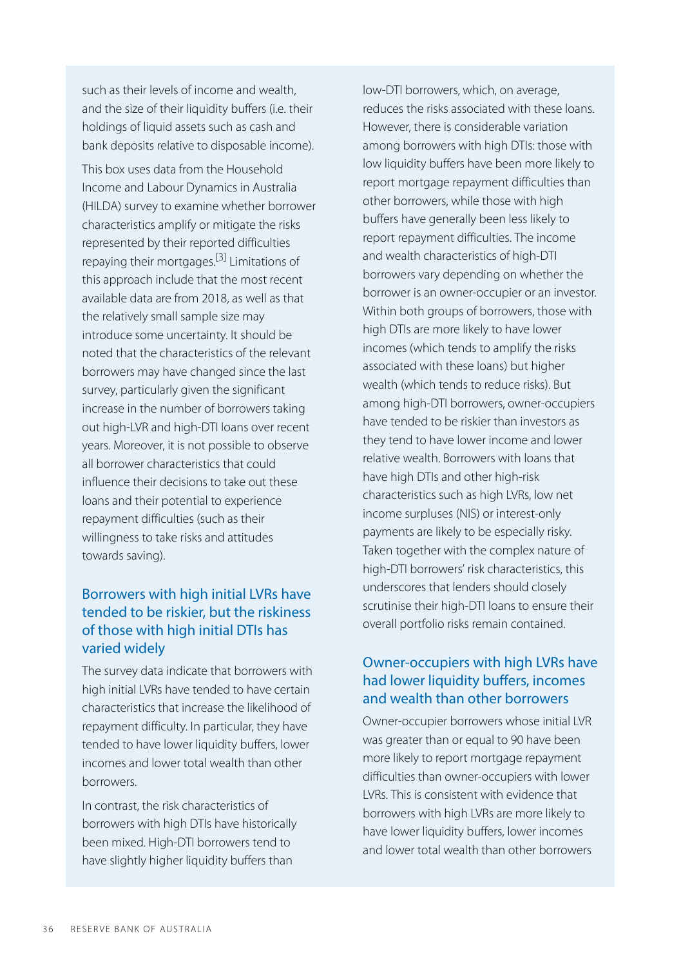such as their levels of income and wealth, and the size of their liquidity buffers (i.e. their holdings of liquid assets such as cash and bank deposits relative to disposable income).

<span id="page-1-0"></span>This box uses data from the Household Income and Labour Dynamics in Australia (HILDA) survey to examine whether borrower characteristics amplify or mitigate the risks represented by their reported difficulties repaying their mortgages.<sup>[\[3\]](#page-4-2)</sup> Limitations of this approach include that the most recent available data are from 2018, as well as that the relatively small sample size may introduce some uncertainty. It should be noted that the characteristics of the relevant borrowers may have changed since the last survey, particularly given the significant increase in the number of borrowers taking out high-LVR and high-DTI loans over recent years. Moreover, it is not possible to observe all borrower characteristics that could influence their decisions to take out these loans and their potential to experience repayment difficulties (such as their willingness to take risks and attitudes towards saving).

### Borrowers with high initial LVRs have tended to be riskier, but the riskiness of those with high initial DTIs has varied widely

The survey data indicate that borrowers with high initial LVRs have tended to have certain characteristics that increase the likelihood of repayment difficulty. In particular, they have tended to have lower liquidity buffers, lower incomes and lower total wealth than other borrowers.

In contrast, the risk characteristics of borrowers with high DTIs have historically been mixed. High-DTI borrowers tend to have slightly higher liquidity buffers than

low-DTI borrowers, which, on average, reduces the risks associated with these loans. However, there is considerable variation among borrowers with high DTIs: those with low liquidity buffers have been more likely to report mortgage repayment difficulties than other borrowers, while those with high buffers have generally been less likely to report repayment difficulties. The income and wealth characteristics of high-DTI borrowers vary depending on whether the borrower is an owner-occupier or an investor. Within both groups of borrowers, those with high DTIs are more likely to have lower incomes (which tends to amplify the risks associated with these loans) but higher wealth (which tends to reduce risks). But among high-DTI borrowers, owner-occupiers have tended to be riskier than investors as they tend to have lower income and lower relative wealth. Borrowers with loans that have high DTIs and other high-risk characteristics such as high LVRs, low net income surpluses (NIS) or interest-only payments are likely to be especially risky. Taken together with the complex nature of high-DTI borrowers' risk characteristics, this underscores that lenders should closely scrutinise their high-DTI loans to ensure their overall portfolio risks remain contained.

### Owner-occupiers with high LVRs have had lower liquidity buffers, incomes and wealth than other borrowers

Owner-occupier borrowers whose initial LVR was greater than or equal to 90 have been more likely to report mortgage repayment difficulties than owner-occupiers with lower LVRs. This is consistent with evidence that borrowers with high LVRs are more likely to have lower liquidity buffers, lower incomes and lower total wealth than other borrowers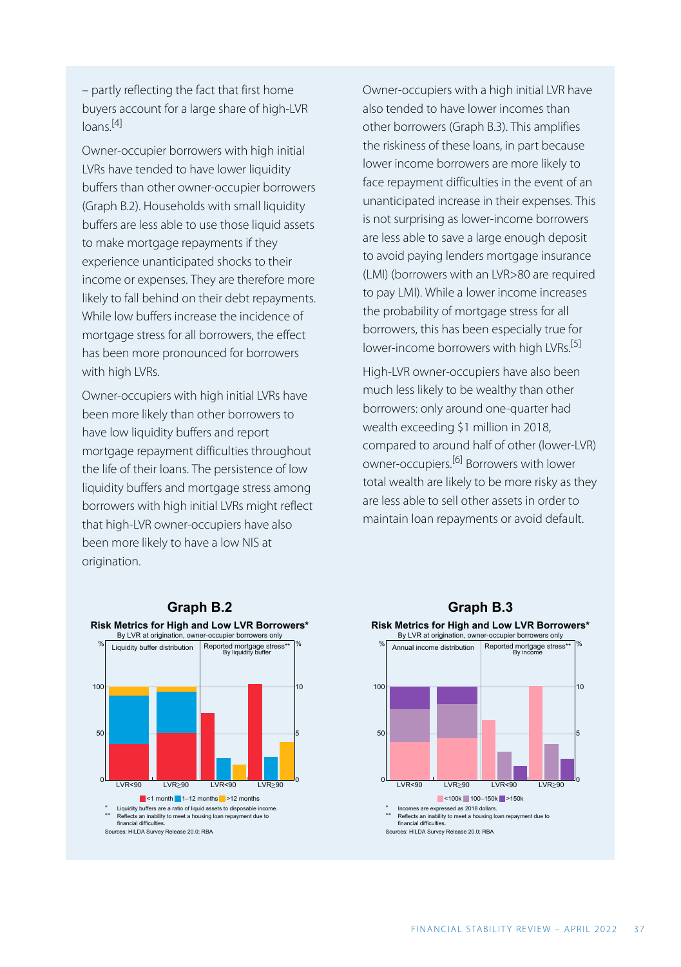– partly reflecting the fact that first home buyers account for a large share of high-LVR  $l<sub>0</sub>$ ans. $[4]$ 

<span id="page-2-0"></span>Owner-occupier borrowers with high initial LVRs have tended to have lower liquidity buffers than other owner-occupier borrowers (Graph B.2). Households with small liquidity buffers are less able to use those liquid assets to make mortgage repayments if they experience unanticipated shocks to their income or expenses. They are therefore more likely to fall behind on their debt repayments. While low buffers increase the incidence of mortgage stress for all borrowers, the effect has been more pronounced for borrowers with high LVRs.

<span id="page-2-2"></span><span id="page-2-1"></span>Owner-occupiers with high initial LVRs have been more likely than other borrowers to have low liquidity buffers and report mortgage repayment difficulties throughout the life of their loans. The persistence of low liquidity buffers and mortgage stress among borrowers with high initial LVRs might reflect that high-LVR owner-occupiers have also been more likely to have a low NIS at origination.

Owner-occupiers with a high initial LVR have also tended to have lower incomes than other borrowers (Graph B.3). This amplifies the riskiness of these loans, in part because lower income borrowers are more likely to face repayment difficulties in the event of an unanticipated increase in their expenses. This is not surprising as lower-income borrowers are less able to save a large enough deposit to avoid paying lenders mortgage insurance (LMI) (borrowers with an LVR>80 are required to pay LMI). While a lower income increases the probability of mortgage stress for all borrowers, this has been especially true for lower-income borrowers with high LVRs.<sup>[\[5\]](#page-4-4)</sup>

High-LVR owner-occupiers have also been much less likely to be wealthy than other borrowers: only around one-quarter had wealth exceeding \$1 million in 2018, compared to around half of other (lower-LVR) owner-occupiers.[\[6\]](#page-4-5) Borrowers with lower total wealth are likely to be more risky as they are less able to sell other assets in order to maintain loan repayments or avoid default.





# Annual income distribution % Reported mortgage stress\*\* By income 100

 $LVR < 90$   $LVR > 90$ 

50

 $LVR < 90$   $LVR > 90$ 

5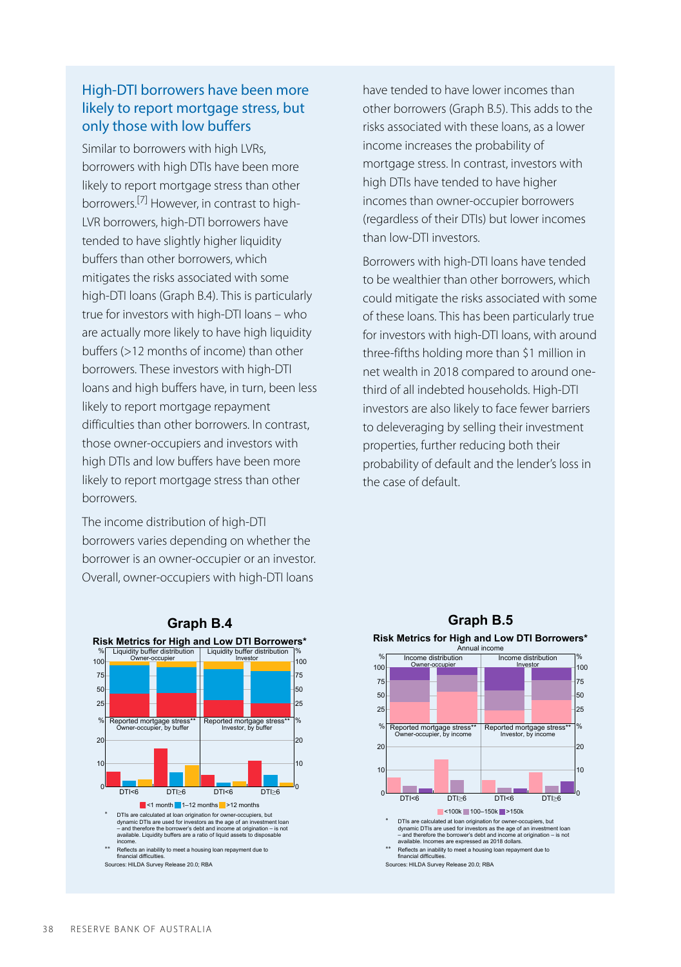### High-DTI borrowers have been more likely to report mortgage stress, but only those with low buffers

<span id="page-3-0"></span>Similar to borrowers with high LVRs, borrowers with high DTIs have been more likely to report mortgage stress than other borrowers.[\[7\]](#page-4-6) However, in contrast to high-LVR borrowers, high-DTI borrowers have tended to have slightly higher liquidity buffers than other borrowers, which mitigates the risks associated with some high-DTI loans (Graph B.4). This is particularly true for investors with high-DTI loans – who are actually more likely to have high liquidity buffers (>12 months of income) than other borrowers. These investors with high-DTI loans and high buffers have, in turn, been less likely to report mortgage repayment difficulties than other borrowers. In contrast, those owner-occupiers and investors with high DTIs and low buffers have been more likely to report mortgage stress than other borrowers.

The income distribution of high-DTI borrowers varies depending on whether the borrower is an owner-occupier or an investor. Overall, owner-occupiers with high-DTI loans

**Graph B.4 Risk Metrics for High and Low DTI Borrowers\*** Liquidity buffer distribution er-occupier  $25$ 50 75 100 **Liquidity buffer distribution** Investor 25 50 75 100 % Reported mortgage stress\*\* Owner-occupier, by buffer % Reported mortgage stress\*\* DTI<6 DTI≥6  $\overline{0}$ 10  $\overline{2}$ Reported mortgage stress DTI<6 DTI≥6 0 10  $\overline{20}$ %  $\blacksquare$  <1 month  $\blacksquare$  1–12 months  $\blacksquare$  >12 months \* DTIs are calculated at loan origination for owner-occupiers, but dynamic DTIs are used for investors as the age of an investment loan – and therefore the borrower's debt and income at origination – is not available. Liquidity buffers are a ratio of liquid assets to disposable income. \*\* Reflects an inability to meet a housing loan repayment due to financial difficulties. Sources: HILDA Survey Release 20.0; RBA

have tended to have lower incomes than other borrowers (Graph B.5). This adds to the risks associated with these loans, as a lower income increases the probability of mortgage stress. In contrast, investors with high DTIs have tended to have higher incomes than owner-occupier borrowers (regardless of their DTIs) but lower incomes than low-DTI investors.

Borrowers with high-DTI loans have tended to be wealthier than other borrowers, which could mitigate the risks associated with some of these loans. This has been particularly true for investors with high-DTI loans, with around three-fifths holding more than \$1 million in net wealth in 2018 compared to around onethird of all indebted households. High-DTI investors are also likely to face fewer barriers to deleveraging by selling their investment properties, further reducing both their probability of default and the lender's loss in the case of default.



## **Graph B.5 Risk Metrics for High and Low DTI Borrowers\***